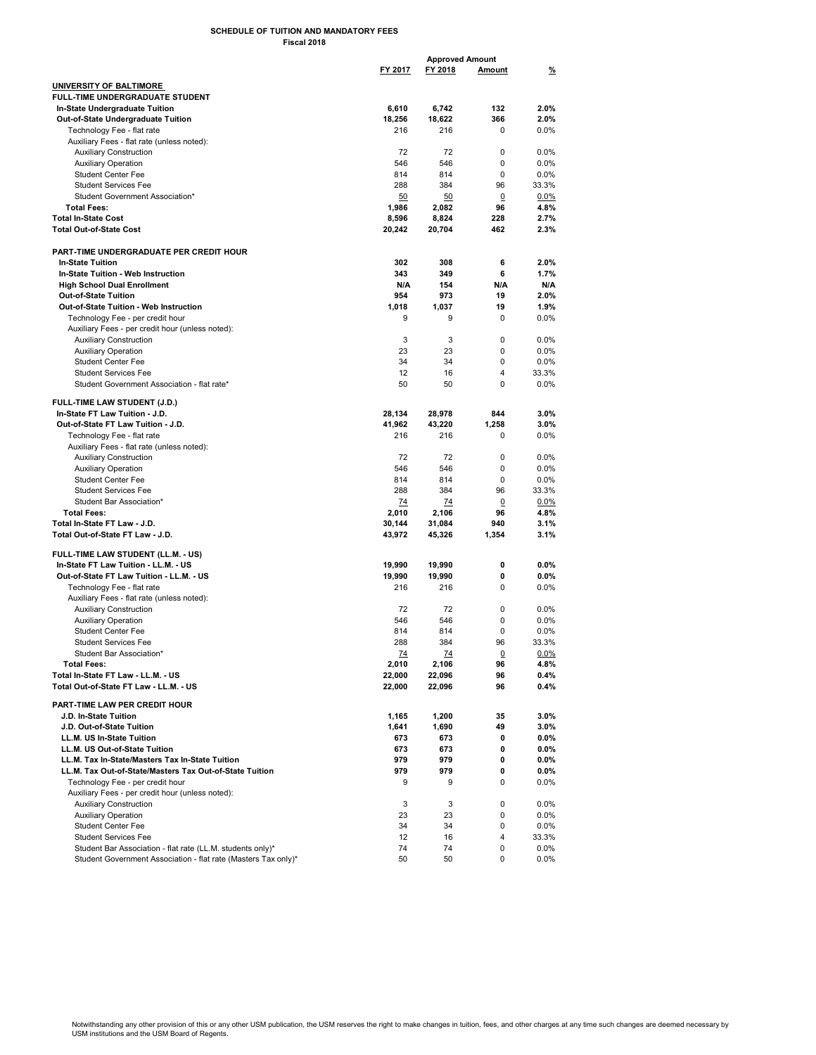## SCHEDULE OF TUITION AND MANDATORY FEES Fiscal 2018

|                                                                |           | <b>Approved Amount</b> |                |          |
|----------------------------------------------------------------|-----------|------------------------|----------------|----------|
|                                                                | FY 2017   | FY 2018                | <b>Amount</b>  | <u>%</u> |
|                                                                |           |                        |                |          |
| <b>UNIVERSITY OF BALTIMORE</b>                                 |           |                        |                |          |
| <b>FULL-TIME UNDERGRADUATE STUDENT</b>                         |           |                        |                |          |
| In-State Undergraduate Tuition                                 | 6,610     | 6,742                  | 132            | 2.0%     |
| Out-of-State Undergraduate Tuition                             | 18,256    | 18,622                 | 366            | 2.0%     |
| Technology Fee - flat rate                                     | 216       | 216                    | 0              | $0.0\%$  |
| Auxiliary Fees - flat rate (unless noted):                     |           |                        |                |          |
| <b>Auxiliary Construction</b>                                  | 72        | 72                     | 0              | 0.0%     |
| <b>Auxiliary Operation</b>                                     | 546       | 546                    | 0              | $0.0\%$  |
| <b>Student Center Fee</b>                                      | 814       | 814                    | 0              | 0.0%     |
| <b>Student Services Fee</b>                                    | 288       | 384                    | 96             | 33.3%    |
| Student Government Association*                                | 50        | 50                     | 0              | 0.0%     |
| <b>Total Fees:</b>                                             |           |                        | 96             | 4.8%     |
|                                                                | 1,986     | 2,082                  |                |          |
| <b>Total In-State Cost</b>                                     | 8,596     | 8,824                  | 228            | 2.7%     |
| <b>Total Out-of-State Cost</b>                                 | 20,242    | 20,704                 | 462            | 2.3%     |
|                                                                |           |                        |                |          |
| PART-TIME UNDERGRADUATE PER CREDIT HOUR                        |           |                        |                |          |
| <b>In-State Tuition</b>                                        | 302       | 308                    | 6              | 2.0%     |
| In-State Tuition - Web Instruction                             | 343       | 349                    | 6              | 1.7%     |
| <b>High School Dual Enrollment</b>                             | N/A       | 154                    | N/A            | N/A      |
| Out-of-State Tuition                                           | 954       | 973                    | 19             | 2.0%     |
| Out-of-State Tuition - Web Instruction                         | 1,018     | 1,037                  | 19             | 1.9%     |
| Technology Fee - per credit hour                               | 9         | 9                      | 0              | $0.0\%$  |
|                                                                |           |                        |                |          |
| Auxiliary Fees - per credit hour (unless noted):               |           |                        |                |          |
| <b>Auxiliary Construction</b>                                  | 3         | 3                      | 0              | 0.0%     |
| <b>Auxiliary Operation</b>                                     | 23        | 23                     | 0              | $0.0\%$  |
| <b>Student Center Fee</b>                                      | 34        | 34                     | 0              | 0.0%     |
| <b>Student Services Fee</b>                                    | 12        | 16                     | 4              | 33.3%    |
| Student Government Association - flat rate*                    | 50        | 50                     | 0              | 0.0%     |
|                                                                |           |                        |                |          |
| <b>FULL-TIME LAW STUDENT (J.D.)</b>                            |           |                        |                |          |
| In-State FT Law Tuition - J.D.                                 | 28,134    | 28,978                 | 844            | 3.0%     |
| Out-of-State FT Law Tuition - J.D.                             | 41,962    | 43,220                 | 1,258          | 3.0%     |
| Technology Fee - flat rate                                     | 216       | 216                    | 0              | 0.0%     |
| Auxiliary Fees - flat rate (unless noted):                     |           |                        |                |          |
| <b>Auxiliary Construction</b>                                  | 72        | 72                     | 0              | 0.0%     |
| <b>Auxiliary Operation</b>                                     | 546       | 546                    | 0              | 0.0%     |
|                                                                |           | 814                    | 0              | 0.0%     |
| <b>Student Center Fee</b>                                      | 814       |                        |                |          |
| <b>Student Services Fee</b>                                    | 288       | 384                    | 96             | 33.3%    |
| Student Bar Association*                                       | 74        | 74                     | $\overline{0}$ | 0.0%     |
| <b>Total Fees:</b>                                             | 2,010     | 2,106                  | 96             | 4.8%     |
| Total In-State FT Law - J.D.                                   | 30,144    | 31,084                 | 940            | 3.1%     |
| Total Out-of-State FT Law - J.D.                               | 43,972    | 45,326                 | 1,354          | $3.1\%$  |
|                                                                |           |                        |                |          |
| FULL TIME LAW STUDENT (LL.M. - US)                             |           |                        |                |          |
| In State FT Law Tuition - LL.M. - US                           | 19,990    | 19,990                 | 0              | 0.0%     |
| Out-of-State FT Law Tuition - LL.M. - US                       | 19,990    | 19,990                 | 0              | 0.0%     |
| Technology Fee - flat rate                                     | 216       | 216                    | 0              | $0.0\%$  |
| Auxiliary Fees - flat rate (unless noted):                     |           |                        |                |          |
| <b>Auxiliary Construction</b>                                  | 72        | 72                     | 0              | $0.0\%$  |
| <b>Auxiliary Operation</b>                                     | 546       | 546                    | 0              | $0.0\%$  |
| <b>Student Center Fee</b>                                      | 814       | 814                    | 0              | $0.0\%$  |
| <b>Student Services Fee</b>                                    | 288       | 384                    | 96             | 33.3%    |
|                                                                |           |                        |                |          |
| Student Bar Association*                                       | <u>74</u> | <u>74</u>              | $\overline{0}$ | 0.0%     |
| <b>Total Fees:</b>                                             | 2,010     | 2,106                  | 96             | 4.8%     |
| Total In-State FT Law - LL.M. - US                             | 22,000    | 22,096                 | 96             | 0.4%     |
| Total Out-of-State FT Law - LL.M. - US                         | 22,000    | 22,096                 | 96             | 0.4%     |
| PART-TIME LAW PER CREDIT HOUR                                  |           |                        |                |          |
|                                                                |           |                        |                |          |
| J.D. In-State Tuition                                          | 1,165     | 1,200                  | 35             | 3.0%     |
| J.D. Out-of-State Tuition                                      | 1,641     | 1,690                  | 49             | 3.0%     |
| LL.M. US In-State Tuition                                      | 673       | 673                    | 0              | 0.0%     |
| LL.M. US Out-of-State Tuition                                  | 673       | 673                    | 0              | 0.0%     |
| LL.M. Tax In-State/Masters Tax In-State Tuition                | 979       | 979                    | 0              | 0.0%     |
| LL.M. Tax Out-of-State/Masters Tax Out-of-State Tuition        | 979       | 979                    | 0              | 0.0%     |
| Technology Fee - per credit hour                               | 9         | 9                      | 0              | $0.0\%$  |
| Auxiliary Fees - per credit hour (unless noted):               |           |                        |                |          |
| <b>Auxiliary Construction</b>                                  | 3         | 3                      | 0              | 0.0%     |
| <b>Auxiliary Operation</b>                                     | 23        | 23                     | 0              | $0.0\%$  |
|                                                                |           |                        |                |          |
| <b>Student Center Fee</b>                                      | 34        | 34                     | 0              | 0.0%     |
| <b>Student Services Fee</b>                                    | 12        | 16                     | 4              | 33.3%    |
| Student Bar Association - flat rate (LL.M. students only)*     | 74        | 74                     | 0              | 0.0%     |
| Student Government Association - flat rate (Masters Tax only)* | 50        | 50                     | 0              | $0.0\%$  |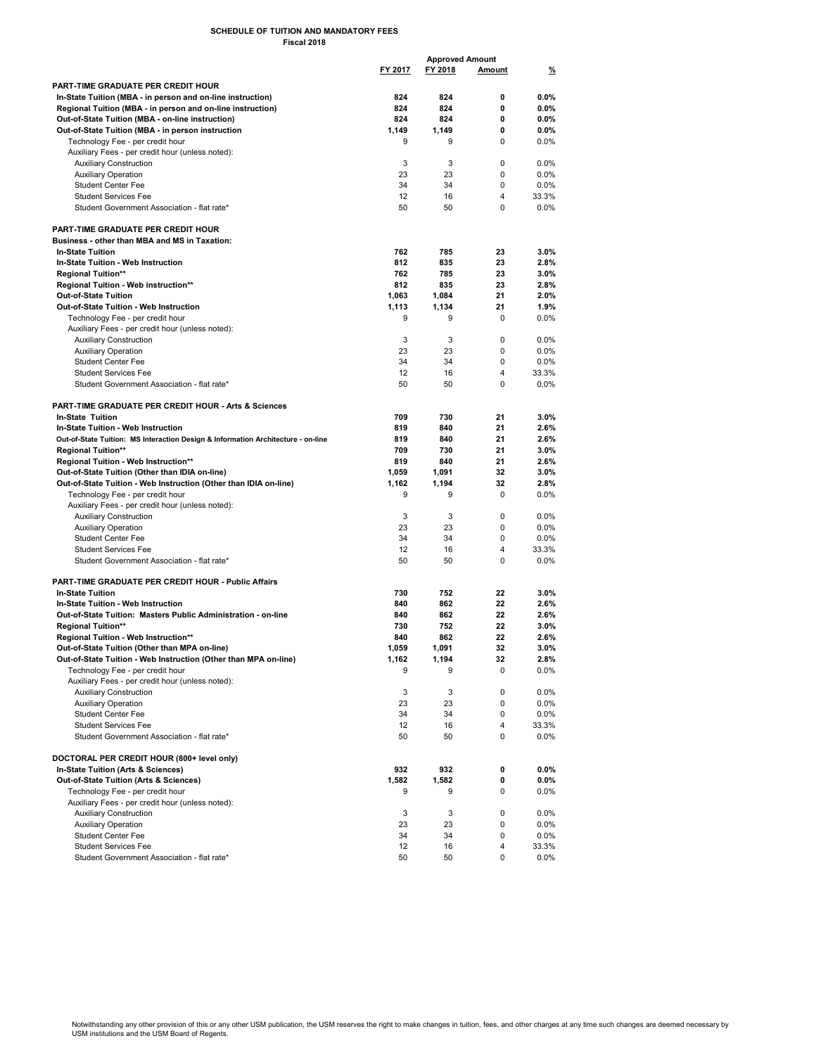## SCHEDULE OF TUITION AND MANDATORY FEES Fiscal 2018

|                                                                                  | <b>Approved Amount</b> |         |        |          |
|----------------------------------------------------------------------------------|------------------------|---------|--------|----------|
|                                                                                  | FY 2017                | FY 2018 | Amount | <u>%</u> |
| PART-TIME GRADUATE PER CREDIT HOUR                                               |                        |         |        |          |
| In-State Tuition (MBA - in person and on-line instruction)                       | 824                    | 824     | 0      | $0.0\%$  |
| Regional Tuition (MBA - in person and on-line instruction)                       | 824                    | 824     | 0      | $0.0\%$  |
| Out of State Tuition (MBA - on-line instruction)                                 | 824                    | 824     | 0      | $0.0\%$  |
| Out-of-State Tuition (MBA - in person instruction                                | 1,149                  | 1,149   | 0      | $0.0\%$  |
| Technology Fee - per credit hour                                                 | 9                      | 9       | 0      | $0.0\%$  |
| Auxiliary Fees - per credit hour (unless noted):                                 |                        |         |        |          |
| <b>Auxiliary Construction</b>                                                    | 3                      | 3       | 0      | $0.0\%$  |
| <b>Auxiliary Operation</b>                                                       | 23                     | 23      | 0      | 0.0%     |
| <b>Student Center Fee</b>                                                        | 34                     | 34      | 0      | $0.0\%$  |
| <b>Student Services Fee</b>                                                      | 12                     | 16      | 4      | 33.3%    |
| Student Government Association - flat rate*                                      | 50                     | 50      | 0      | $0.0\%$  |
| PART TIME GRADUATE PER CREDIT HOUR                                               |                        |         |        |          |
| Business - other than MBA and MS in Taxation:                                    |                        |         |        |          |
| <b>In-State Tuition</b>                                                          | 762                    | 785     | 23     | $3.0\%$  |
| In State Tuition - Web Instruction                                               | 812                    | 835     | 23     | 2.8%     |
| <b>Regional Tuition**</b>                                                        | 762                    | 785     | 23     | $3.0\%$  |
| Regional Tuition - Web instruction**                                             | 812                    | 835     | 23     | 2.8%     |
| Out-of-State Tuition                                                             | 1,063                  | 1,084   | 21     | 2.0%     |
| Out-of-State Tuition - Web Instruction                                           | 1,113                  | 1,134   | 21     | 1.9%     |
| Technology Fee - per credit hour                                                 | 9                      | 9       | 0      | $0.0\%$  |
| Auxiliary Fees - per credit hour (unless noted):                                 |                        |         |        |          |
| <b>Auxiliary Construction</b>                                                    | 3                      | 3       | 0      | $0.0\%$  |
| <b>Auxiliary Operation</b>                                                       | 23                     | 23      | 0      | 0.0%     |
| <b>Student Center Fee</b>                                                        | 34                     | 34      | 0      | $0.0\%$  |
| <b>Student Services Fee</b>                                                      | 12                     | 16      | 4      | 33.3%    |
| Student Government Association - flat rate*                                      | 50                     | 50      | 0      | $0.0\%$  |
|                                                                                  |                        |         |        |          |
| PART-TIME GRADUATE PER CREDIT HOUR - Arts & Sciences                             |                        |         |        |          |
| In-State Tuition                                                                 | 709                    | 730     | 21     | $3.0\%$  |
| In State Tuition - Web Instruction                                               | 819                    | 840     | 21     | 2.6%     |
| Out-of-State Tuition: MS Interaction Design & Information Architecture - on-line | 819                    | 840     | 21     | 2.6%     |
| <b>Regional Tuition**</b>                                                        | 709                    | 730     | 21     | $3.0\%$  |
| Regional Tuition - Web Instruction**                                             | 819                    | 840     | 21     | 2.6%     |
| Out-of-State Tuition (Other than IDIA on-line)                                   | 1,059                  | 1,091   | 32     | $3.0\%$  |
| Out of State Tuition - Web Instruction (Other than IDIA on line)                 | 1,162                  | 1,194   | 32     | 2.8%     |
| Technology Fee - per credit hour                                                 | 9                      | 9       | 0      | 0.0%     |
| Auxiliary Fees - per credit hour (unless noted):                                 |                        |         |        |          |
| <b>Auxiliary Construction</b>                                                    | 3                      | 3       | 0      | 0.0%     |
| <b>Auxiliary Operation</b>                                                       | 23                     | 23      | 0      | $0.0\%$  |
| <b>Student Center Fee</b>                                                        | 34                     | 34      | 0      | 0.0%     |
| <b>Student Services Fee</b>                                                      | 12                     | 16      | 4      | 33.3%    |
| Student Government Association - flat rate*                                      | 50                     | 50      | 0      | 0.0%     |
|                                                                                  |                        |         |        |          |
| PART-TIME GRADUATE PER CREDIT HOUR - Public Affairs<br><b>In-State Tuition</b>   | 730                    | 752     | 22     | $3.0\%$  |
| In State Tuition - Web Instruction                                               | 840                    | 862     | 22     | 2.6%     |
| Out-of-State Tuition: Masters Public Administration - on-line                    | 840                    | 862     | 22     | 2.6%     |
| <b>Regional Tuition**</b>                                                        | 730                    | 752     | 22     | 3.0%     |
| Regional Tuition - Web Instruction**                                             | 840                    | 862     | 22     | 2.6%     |
| Out of State Tuition (Other than MPA on line)                                    | 1,059                  | 1,091   | 32     | 3.0%     |
| Out-of-State Tuition - Web Instruction (Other than MPA on-line)                  | 1,162                  | 1,194   | 32     | 2.8%     |
| Technology Fee - per credit hour                                                 | 9                      | 9       | 0      | $0.0\%$  |
| Auxiliary Fees - per credit hour (unless noted):                                 |                        |         |        |          |
| <b>Auxiliary Construction</b>                                                    | 3                      | 3       | 0      | 0.0%     |
| <b>Auxiliary Operation</b>                                                       | 23                     | 23      | 0      | $0.0\%$  |
| <b>Student Center Fee</b>                                                        | 34                     | 34      | 0      | $0.0\%$  |
| <b>Student Services Fee</b>                                                      | 12                     | 16      | 4      | 33.3%    |
| Student Government Association - flat rate*                                      | 50                     | 50      | 0      | $0.0\%$  |
|                                                                                  |                        |         |        |          |
| DOCTORAL PER CREDIT HOUR (800+ level only)                                       |                        |         |        |          |
| In-State Tuition (Arts & Sciences)                                               | 932                    | 932     | 0      | $0.0\%$  |
| Out-of-State Tuition (Arts & Sciences)                                           | 1,582                  | 1,582   | 0      | $0.0\%$  |
| Technology Fee - per credit hour                                                 | 9                      | 9       | 0      | 0.0%     |
| Auxiliary Fees - per credit hour (unless noted):                                 |                        |         |        |          |
| <b>Auxiliary Construction</b>                                                    | 3                      | 3       | 0      | 0.0%     |
| <b>Auxiliary Operation</b>                                                       | 23                     | 23      | 0      | $0.0\%$  |
| <b>Student Center Fee</b>                                                        | 34                     | 34      | 0      | $0.0\%$  |
| <b>Student Services Fee</b>                                                      | 12                     | 16      | 4      | 33.3%    |
| Student Government Association - flat rate*                                      | 50                     | 50      | 0      | 0.0%     |